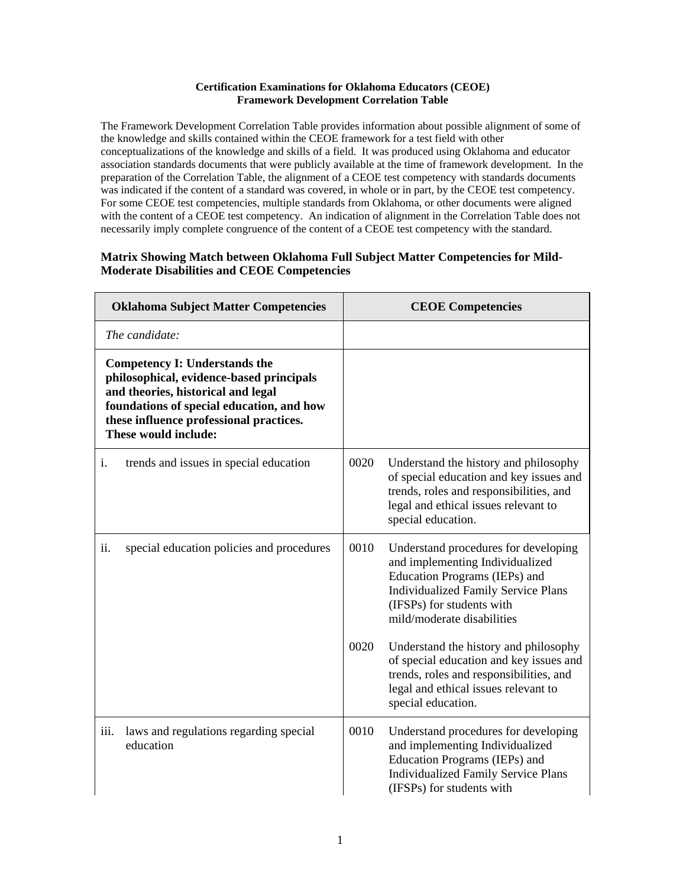## **Certification Examinations for Oklahoma Educators (CEOE) Framework Development Correlation Table**

The Framework Development Correlation Table provides information about possible alignment of some of the knowledge and skills contained within the CEOE framework for a test field with other conceptualizations of the knowledge and skills of a field. It was produced using Oklahoma and educator association standards documents that were publicly available at the time of framework development. In the preparation of the Correlation Table, the alignment of a CEOE test competency with standards documents was indicated if the content of a standard was covered, in whole or in part, by the CEOE test competency. For some CEOE test competencies, multiple standards from Oklahoma, or other documents were aligned with the content of a CEOE test competency. An indication of alignment in the Correlation Table does not necessarily imply complete congruence of the content of a CEOE test competency with the standard.

## **Matrix Showing Match between Oklahoma Full Subject Matter Competencies for Mild-Moderate Disabilities and CEOE Competencies**

| <b>Oklahoma Subject Matter Competencies</b> |                                                                                                                                                                                                                                        |      | <b>CEOE</b> Competencies                                                                                                                                                                                          |
|---------------------------------------------|----------------------------------------------------------------------------------------------------------------------------------------------------------------------------------------------------------------------------------------|------|-------------------------------------------------------------------------------------------------------------------------------------------------------------------------------------------------------------------|
|                                             | The candidate:                                                                                                                                                                                                                         |      |                                                                                                                                                                                                                   |
|                                             | <b>Competency I: Understands the</b><br>philosophical, evidence-based principals<br>and theories, historical and legal<br>foundations of special education, and how<br>these influence professional practices.<br>These would include: |      |                                                                                                                                                                                                                   |
| i.                                          | trends and issues in special education                                                                                                                                                                                                 | 0020 | Understand the history and philosophy<br>of special education and key issues and<br>trends, roles and responsibilities, and<br>legal and ethical issues relevant to<br>special education.                         |
| ii.                                         | special education policies and procedures                                                                                                                                                                                              | 0010 | Understand procedures for developing<br>and implementing Individualized<br>Education Programs (IEPs) and<br><b>Individualized Family Service Plans</b><br>(IFSPs) for students with<br>mild/moderate disabilities |
|                                             |                                                                                                                                                                                                                                        | 0020 | Understand the history and philosophy<br>of special education and key issues and<br>trends, roles and responsibilities, and<br>legal and ethical issues relevant to<br>special education.                         |
| iii.                                        | laws and regulations regarding special<br>education                                                                                                                                                                                    | 0010 | Understand procedures for developing<br>and implementing Individualized<br>Education Programs (IEPs) and<br><b>Individualized Family Service Plans</b><br>(IFSPs) for students with                               |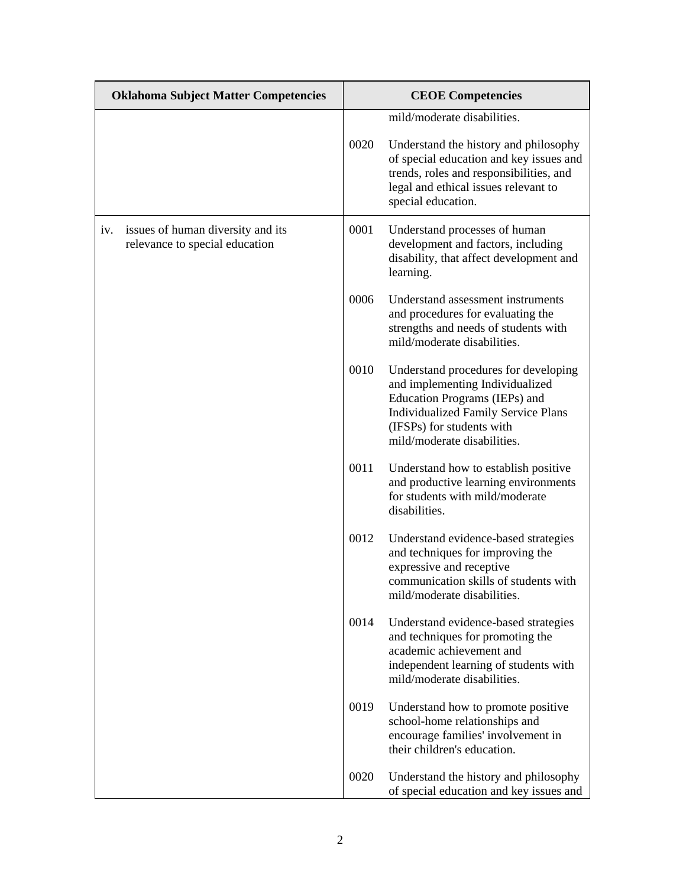| <b>Oklahoma Subject Matter Competencies</b> |                                                                     | <b>CEOE</b> Competencies |                                                                                                                                                                                                                    |
|---------------------------------------------|---------------------------------------------------------------------|--------------------------|--------------------------------------------------------------------------------------------------------------------------------------------------------------------------------------------------------------------|
|                                             |                                                                     |                          | mild/moderate disabilities.                                                                                                                                                                                        |
|                                             |                                                                     | 0020                     | Understand the history and philosophy<br>of special education and key issues and<br>trends, roles and responsibilities, and<br>legal and ethical issues relevant to<br>special education.                          |
| iv.                                         | issues of human diversity and its<br>relevance to special education | 0001                     | Understand processes of human<br>development and factors, including<br>disability, that affect development and<br>learning.                                                                                        |
|                                             |                                                                     | 0006                     | Understand assessment instruments<br>and procedures for evaluating the<br>strengths and needs of students with<br>mild/moderate disabilities.                                                                      |
|                                             |                                                                     | 0010                     | Understand procedures for developing<br>and implementing Individualized<br>Education Programs (IEPs) and<br><b>Individualized Family Service Plans</b><br>(IFSPs) for students with<br>mild/moderate disabilities. |
|                                             |                                                                     | 0011                     | Understand how to establish positive<br>and productive learning environments<br>for students with mild/moderate<br>disabilities.                                                                                   |
|                                             |                                                                     | 0012                     | Understand evidence-based strategies<br>and techniques for improving the<br>expressive and receptive<br>communication skills of students with<br>mild/moderate disabilities.                                       |
|                                             |                                                                     | 0014                     | Understand evidence-based strategies<br>and techniques for promoting the<br>academic achievement and<br>independent learning of students with<br>mild/moderate disabilities.                                       |
|                                             |                                                                     | 0019                     | Understand how to promote positive<br>school-home relationships and<br>encourage families' involvement in<br>their children's education.                                                                           |
|                                             |                                                                     | 0020                     | Understand the history and philosophy<br>of special education and key issues and                                                                                                                                   |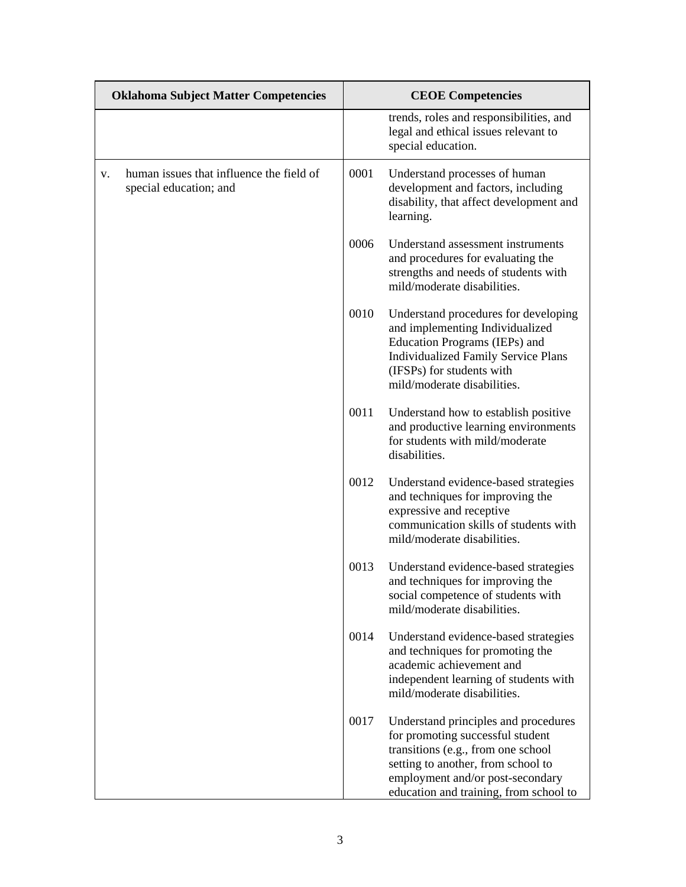| <b>Oklahoma Subject Matter Competencies</b> |                                                                    | <b>CEOE</b> Competencies |                                                                                                                                                                                                                                    |
|---------------------------------------------|--------------------------------------------------------------------|--------------------------|------------------------------------------------------------------------------------------------------------------------------------------------------------------------------------------------------------------------------------|
|                                             |                                                                    |                          | trends, roles and responsibilities, and<br>legal and ethical issues relevant to<br>special education.                                                                                                                              |
| V.                                          | human issues that influence the field of<br>special education; and | 0001                     | Understand processes of human<br>development and factors, including<br>disability, that affect development and<br>learning.                                                                                                        |
|                                             |                                                                    | 0006                     | Understand assessment instruments<br>and procedures for evaluating the<br>strengths and needs of students with<br>mild/moderate disabilities.                                                                                      |
|                                             |                                                                    | 0010                     | Understand procedures for developing<br>and implementing Individualized<br>Education Programs (IEPs) and<br><b>Individualized Family Service Plans</b><br>(IFSPs) for students with<br>mild/moderate disabilities.                 |
|                                             |                                                                    | 0011                     | Understand how to establish positive<br>and productive learning environments<br>for students with mild/moderate<br>disabilities.                                                                                                   |
|                                             |                                                                    | 0012                     | Understand evidence-based strategies<br>and techniques for improving the<br>expressive and receptive<br>communication skills of students with<br>mild/moderate disabilities.                                                       |
|                                             |                                                                    | 0013                     | Understand evidence-based strategies<br>and techniques for improving the<br>social competence of students with<br>mild/moderate disabilities.                                                                                      |
|                                             |                                                                    | 0014                     | Understand evidence-based strategies<br>and techniques for promoting the<br>academic achievement and<br>independent learning of students with<br>mild/moderate disabilities.                                                       |
|                                             |                                                                    | 0017                     | Understand principles and procedures<br>for promoting successful student<br>transitions (e.g., from one school<br>setting to another, from school to<br>employment and/or post-secondary<br>education and training, from school to |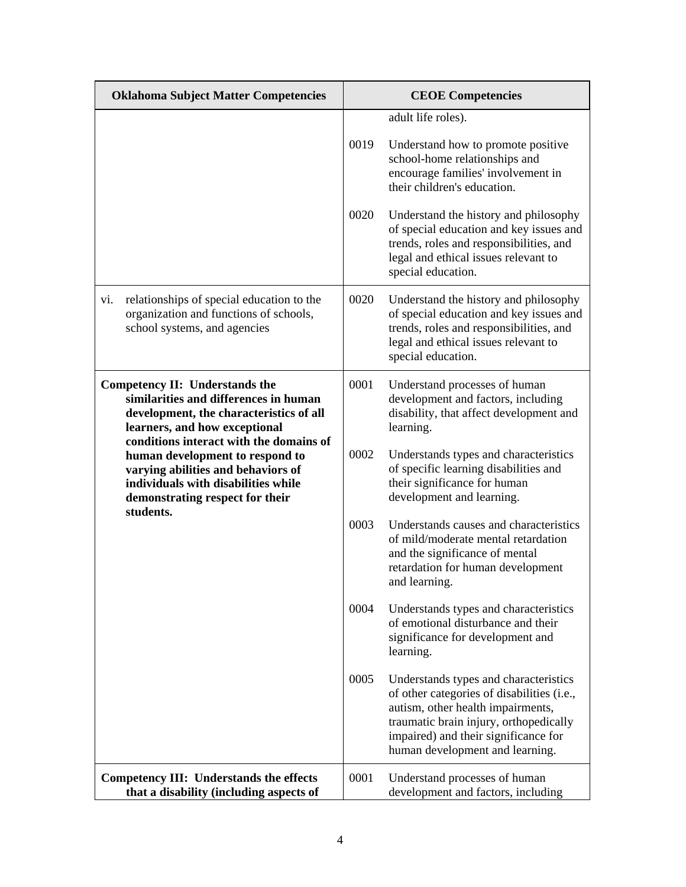| <b>Oklahoma Subject Matter Competencies</b>                                                                                                                                                           | <b>CEOE Competencies</b> |                                                                                                                                                                                                                                               |
|-------------------------------------------------------------------------------------------------------------------------------------------------------------------------------------------------------|--------------------------|-----------------------------------------------------------------------------------------------------------------------------------------------------------------------------------------------------------------------------------------------|
|                                                                                                                                                                                                       |                          | adult life roles).                                                                                                                                                                                                                            |
|                                                                                                                                                                                                       | 0019                     | Understand how to promote positive<br>school-home relationships and<br>encourage families' involvement in<br>their children's education.                                                                                                      |
|                                                                                                                                                                                                       | 0020                     | Understand the history and philosophy<br>of special education and key issues and<br>trends, roles and responsibilities, and<br>legal and ethical issues relevant to<br>special education.                                                     |
| relationships of special education to the<br>vi.<br>organization and functions of schools,<br>school systems, and agencies                                                                            | 0020                     | Understand the history and philosophy<br>of special education and key issues and<br>trends, roles and responsibilities, and<br>legal and ethical issues relevant to<br>special education.                                                     |
| <b>Competency II: Understands the</b><br>similarities and differences in human<br>development, the characteristics of all<br>learners, and how exceptional<br>conditions interact with the domains of | 0001                     | Understand processes of human<br>development and factors, including<br>disability, that affect development and<br>learning.                                                                                                                   |
| human development to respond to<br>varying abilities and behaviors of<br>individuals with disabilities while<br>demonstrating respect for their<br>students.                                          | 0002                     | Understands types and characteristics<br>of specific learning disabilities and<br>their significance for human<br>development and learning.                                                                                                   |
|                                                                                                                                                                                                       | 0003                     | Understands causes and characteristics<br>of mild/moderate mental retardation<br>and the significance of mental<br>retardation for human development<br>and learning.                                                                         |
|                                                                                                                                                                                                       | 0004                     | Understands types and characteristics<br>of emotional disturbance and their<br>significance for development and<br>learning.                                                                                                                  |
|                                                                                                                                                                                                       | 0005                     | Understands types and characteristics<br>of other categories of disabilities (i.e.,<br>autism, other health impairments,<br>traumatic brain injury, orthopedically<br>impaired) and their significance for<br>human development and learning. |
| <b>Competency III: Understands the effects</b><br>that a disability (including aspects of                                                                                                             | 0001                     | Understand processes of human<br>development and factors, including                                                                                                                                                                           |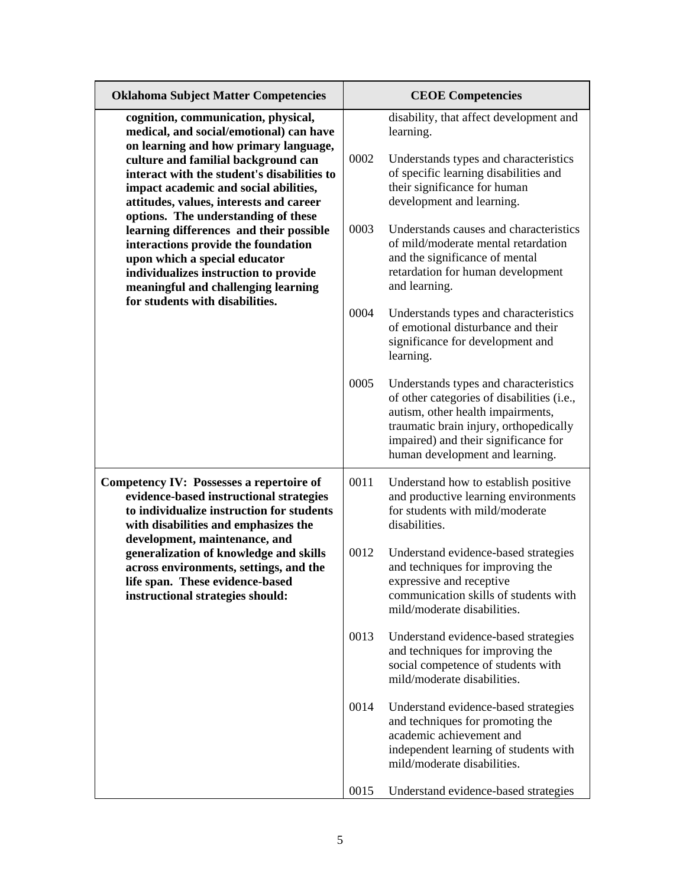| <b>Oklahoma Subject Matter Competencies</b>                                                                                                                                                                                                                                                       |      | <b>CEOE Competencies</b>                                                                                                                                                                                                                      |
|---------------------------------------------------------------------------------------------------------------------------------------------------------------------------------------------------------------------------------------------------------------------------------------------------|------|-----------------------------------------------------------------------------------------------------------------------------------------------------------------------------------------------------------------------------------------------|
| cognition, communication, physical,<br>medical, and social/emotional) can have<br>on learning and how primary language,<br>culture and familial background can<br>interact with the student's disabilities to<br>impact academic and social abilities,<br>attitudes, values, interests and career | 0002 | disability, that affect development and<br>learning.<br>Understands types and characteristics<br>of specific learning disabilities and<br>their significance for human<br>development and learning.                                           |
| options. The understanding of these<br>learning differences and their possible<br>interactions provide the foundation<br>upon which a special educator<br>individualizes instruction to provide<br>meaningful and challenging learning<br>for students with disabilities.                         | 0003 | Understands causes and characteristics<br>of mild/moderate mental retardation<br>and the significance of mental<br>retardation for human development<br>and learning.                                                                         |
|                                                                                                                                                                                                                                                                                                   | 0004 | Understands types and characteristics<br>of emotional disturbance and their<br>significance for development and<br>learning.                                                                                                                  |
|                                                                                                                                                                                                                                                                                                   | 0005 | Understands types and characteristics<br>of other categories of disabilities (i.e.,<br>autism, other health impairments,<br>traumatic brain injury, orthopedically<br>impaired) and their significance for<br>human development and learning. |
| <b>Competency IV: Possesses a repertoire of</b><br>evidence-based instructional strategies<br>to individualize instruction for students<br>with disabilities and emphasizes the                                                                                                                   | 0011 | Understand how to establish positive<br>and productive learning environments<br>for students with mild/moderate<br>disabilities.                                                                                                              |
| development, maintenance, and<br>generalization of knowledge and skills<br>across environments, settings, and the<br>life span. These evidence-based<br>instructional strategies should:                                                                                                          | 0012 | Understand evidence-based strategies<br>and techniques for improving the<br>expressive and receptive<br>communication skills of students with<br>mild/moderate disabilities.                                                                  |
|                                                                                                                                                                                                                                                                                                   | 0013 | Understand evidence-based strategies<br>and techniques for improving the<br>social competence of students with<br>mild/moderate disabilities.                                                                                                 |
|                                                                                                                                                                                                                                                                                                   | 0014 | Understand evidence-based strategies<br>and techniques for promoting the<br>academic achievement and<br>independent learning of students with<br>mild/moderate disabilities.                                                                  |
|                                                                                                                                                                                                                                                                                                   | 0015 | Understand evidence-based strategies                                                                                                                                                                                                          |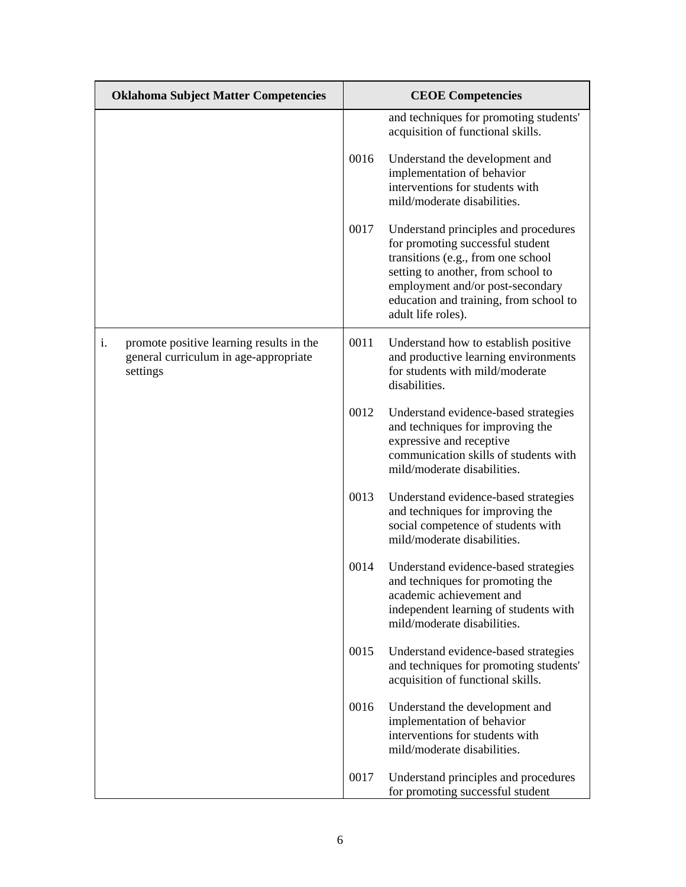| <b>Oklahoma Subject Matter Competencies</b>                                                         |      | <b>CEOE</b> Competencies                                                                                                                                                                                                                                 |  |
|-----------------------------------------------------------------------------------------------------|------|----------------------------------------------------------------------------------------------------------------------------------------------------------------------------------------------------------------------------------------------------------|--|
|                                                                                                     |      | and techniques for promoting students'<br>acquisition of functional skills.                                                                                                                                                                              |  |
|                                                                                                     | 0016 | Understand the development and<br>implementation of behavior<br>interventions for students with<br>mild/moderate disabilities.                                                                                                                           |  |
|                                                                                                     | 0017 | Understand principles and procedures<br>for promoting successful student<br>transitions (e.g., from one school<br>setting to another, from school to<br>employment and/or post-secondary<br>education and training, from school to<br>adult life roles). |  |
| i.<br>promote positive learning results in the<br>general curriculum in age-appropriate<br>settings | 0011 | Understand how to establish positive<br>and productive learning environments<br>for students with mild/moderate<br>disabilities.                                                                                                                         |  |
|                                                                                                     | 0012 | Understand evidence-based strategies<br>and techniques for improving the<br>expressive and receptive<br>communication skills of students with<br>mild/moderate disabilities.                                                                             |  |
|                                                                                                     | 0013 | Understand evidence-based strategies<br>and techniques for improving the<br>social competence of students with<br>mild/moderate disabilities.                                                                                                            |  |
|                                                                                                     | 0014 | Understand evidence-based strategies<br>and techniques for promoting the<br>academic achievement and<br>independent learning of students with<br>mild/moderate disabilities.                                                                             |  |
|                                                                                                     | 0015 | Understand evidence-based strategies<br>and techniques for promoting students'<br>acquisition of functional skills.                                                                                                                                      |  |
|                                                                                                     | 0016 | Understand the development and<br>implementation of behavior<br>interventions for students with<br>mild/moderate disabilities.                                                                                                                           |  |
|                                                                                                     | 0017 | Understand principles and procedures<br>for promoting successful student                                                                                                                                                                                 |  |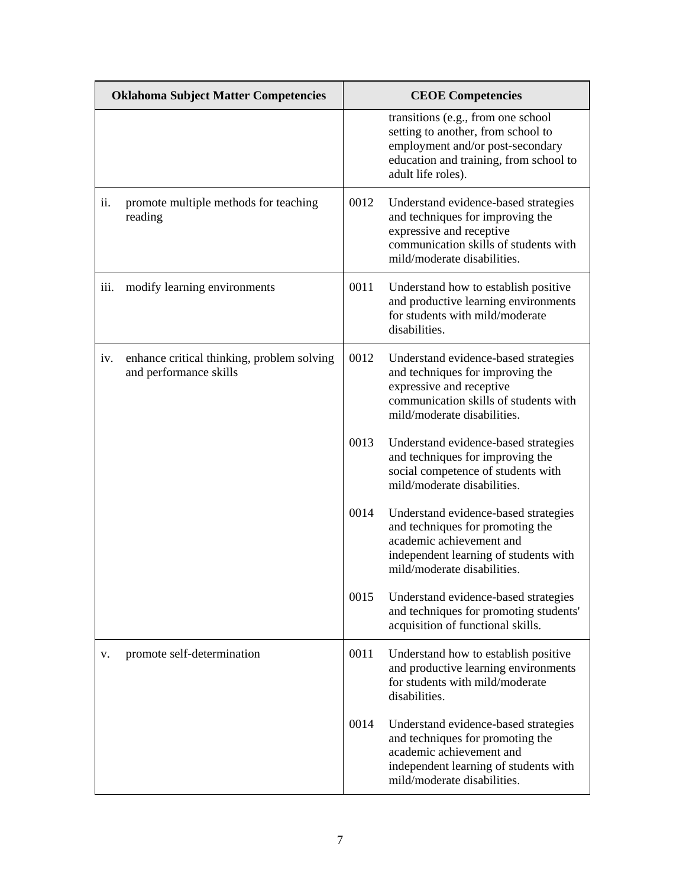| <b>Oklahoma Subject Matter Competencies</b> |                                                                      |      | <b>CEOE</b> Competencies                                                                                                                                                     |
|---------------------------------------------|----------------------------------------------------------------------|------|------------------------------------------------------------------------------------------------------------------------------------------------------------------------------|
|                                             |                                                                      |      | transitions (e.g., from one school<br>setting to another, from school to<br>employment and/or post-secondary<br>education and training, from school to<br>adult life roles). |
| ii.                                         | promote multiple methods for teaching<br>reading                     | 0012 | Understand evidence-based strategies<br>and techniques for improving the<br>expressive and receptive<br>communication skills of students with<br>mild/moderate disabilities. |
| iii.                                        | modify learning environments                                         | 0011 | Understand how to establish positive<br>and productive learning environments<br>for students with mild/moderate<br>disabilities.                                             |
| iv.                                         | enhance critical thinking, problem solving<br>and performance skills | 0012 | Understand evidence-based strategies<br>and techniques for improving the<br>expressive and receptive<br>communication skills of students with<br>mild/moderate disabilities. |
|                                             |                                                                      | 0013 | Understand evidence-based strategies<br>and techniques for improving the<br>social competence of students with<br>mild/moderate disabilities.                                |
|                                             |                                                                      | 0014 | Understand evidence-based strategies<br>and techniques for promoting the<br>academic achievement and<br>independent learning of students with<br>mild/moderate disabilities. |
|                                             |                                                                      | 0015 | Understand evidence-based strategies<br>and techniques for promoting students'<br>acquisition of functional skills.                                                          |
| v.                                          | promote self-determination                                           | 0011 | Understand how to establish positive<br>and productive learning environments<br>for students with mild/moderate<br>disabilities.                                             |
|                                             |                                                                      | 0014 | Understand evidence-based strategies<br>and techniques for promoting the<br>academic achievement and<br>independent learning of students with<br>mild/moderate disabilities. |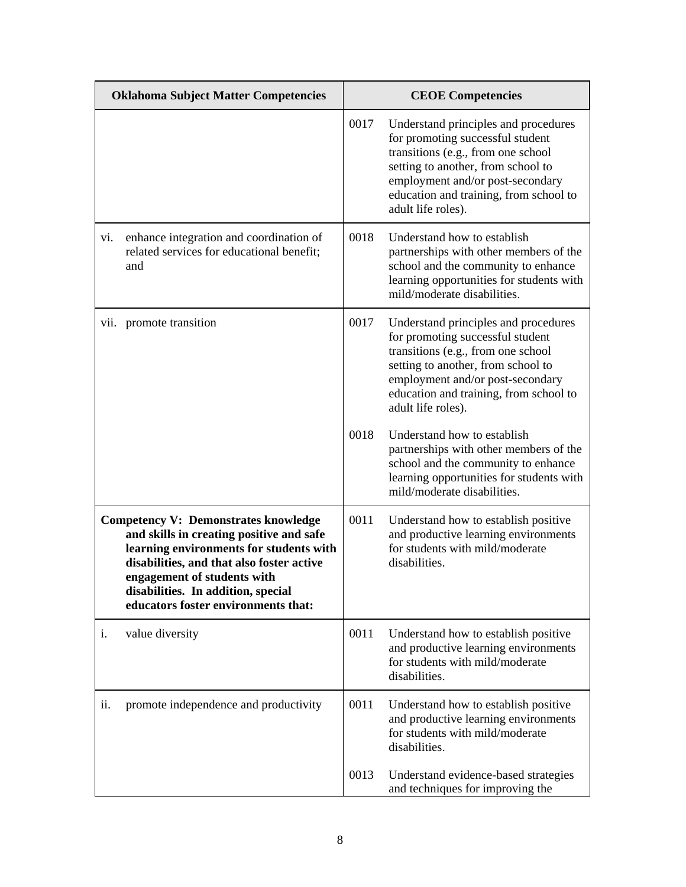| <b>Oklahoma Subject Matter Competencies</b> |                                                                                                                                                                                                                                                                                             | <b>CEOE</b> Competencies |                                                                                                                                                                                                                                                          |
|---------------------------------------------|---------------------------------------------------------------------------------------------------------------------------------------------------------------------------------------------------------------------------------------------------------------------------------------------|--------------------------|----------------------------------------------------------------------------------------------------------------------------------------------------------------------------------------------------------------------------------------------------------|
|                                             |                                                                                                                                                                                                                                                                                             | 0017                     | Understand principles and procedures<br>for promoting successful student<br>transitions (e.g., from one school<br>setting to another, from school to<br>employment and/or post-secondary<br>education and training, from school to<br>adult life roles). |
| V1.                                         | enhance integration and coordination of<br>related services for educational benefit;<br>and                                                                                                                                                                                                 | 0018                     | Understand how to establish<br>partnerships with other members of the<br>school and the community to enhance<br>learning opportunities for students with<br>mild/moderate disabilities.                                                                  |
|                                             | vii. promote transition                                                                                                                                                                                                                                                                     | 0017                     | Understand principles and procedures<br>for promoting successful student<br>transitions (e.g., from one school<br>setting to another, from school to<br>employment and/or post-secondary<br>education and training, from school to<br>adult life roles). |
|                                             |                                                                                                                                                                                                                                                                                             | 0018                     | Understand how to establish<br>partnerships with other members of the<br>school and the community to enhance<br>learning opportunities for students with<br>mild/moderate disabilities.                                                                  |
|                                             | <b>Competency V: Demonstrates knowledge</b><br>and skills in creating positive and safe<br>learning environments for students with<br>disabilities, and that also foster active<br>engagement of students with<br>disabilities. In addition, special<br>educators foster environments that: | 0011                     | Understand how to establish positive<br>and productive learning environments<br>for students with mild/moderate<br>disabilities.                                                                                                                         |
| i.                                          | value diversity                                                                                                                                                                                                                                                                             | 0011                     | Understand how to establish positive<br>and productive learning environments<br>for students with mild/moderate<br>disabilities.                                                                                                                         |
| ii.                                         | promote independence and productivity                                                                                                                                                                                                                                                       | 0011                     | Understand how to establish positive<br>and productive learning environments<br>for students with mild/moderate<br>disabilities.                                                                                                                         |
|                                             |                                                                                                                                                                                                                                                                                             | 0013                     | Understand evidence-based strategies<br>and techniques for improving the                                                                                                                                                                                 |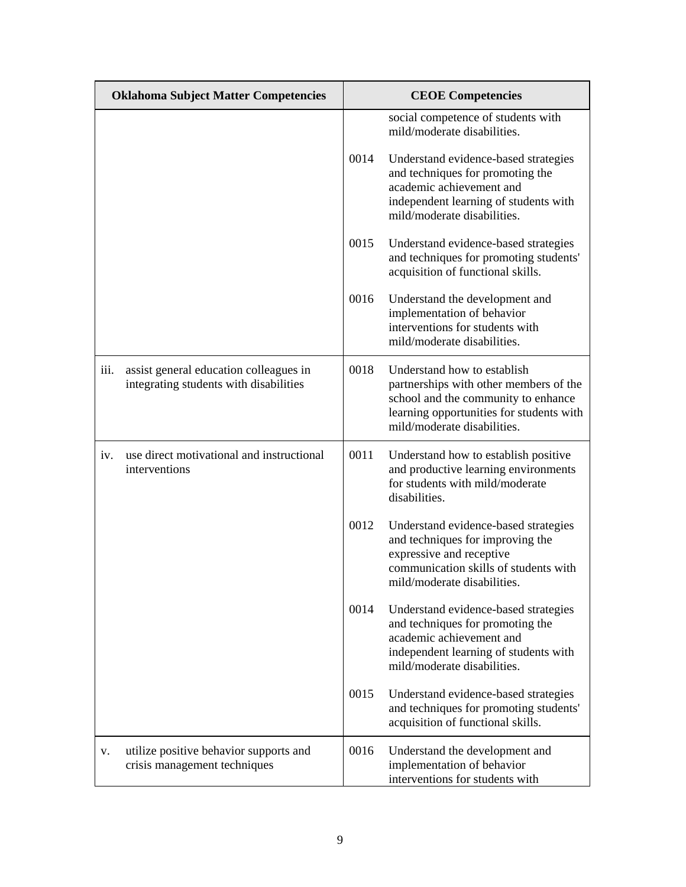| <b>Oklahoma Subject Matter Competencies</b> |                                                                                  | <b>CEOE</b> Competencies |                                                                                                                                                                                         |  |
|---------------------------------------------|----------------------------------------------------------------------------------|--------------------------|-----------------------------------------------------------------------------------------------------------------------------------------------------------------------------------------|--|
|                                             |                                                                                  |                          | social competence of students with<br>mild/moderate disabilities.                                                                                                                       |  |
|                                             |                                                                                  | 0014                     | Understand evidence-based strategies<br>and techniques for promoting the<br>academic achievement and<br>independent learning of students with<br>mild/moderate disabilities.            |  |
|                                             |                                                                                  | 0015                     | Understand evidence-based strategies<br>and techniques for promoting students'<br>acquisition of functional skills.                                                                     |  |
|                                             |                                                                                  | 0016                     | Understand the development and<br>implementation of behavior<br>interventions for students with<br>mild/moderate disabilities.                                                          |  |
| iii.                                        | assist general education colleagues in<br>integrating students with disabilities | 0018                     | Understand how to establish<br>partnerships with other members of the<br>school and the community to enhance<br>learning opportunities for students with<br>mild/moderate disabilities. |  |
| iv.                                         | use direct motivational and instructional<br>interventions                       | 0011                     | Understand how to establish positive<br>and productive learning environments<br>for students with mild/moderate<br>disabilities.                                                        |  |
|                                             |                                                                                  | 0012                     | Understand evidence-based strategies<br>and techniques for improving the<br>expressive and receptive<br>communication skills of students with<br>mild/moderate disabilities.            |  |
|                                             |                                                                                  | 0014                     | Understand evidence-based strategies<br>and techniques for promoting the<br>academic achievement and<br>independent learning of students with<br>mild/moderate disabilities.            |  |
|                                             |                                                                                  | 0015                     | Understand evidence-based strategies<br>and techniques for promoting students'<br>acquisition of functional skills.                                                                     |  |
| V.                                          | utilize positive behavior supports and<br>crisis management techniques           | 0016                     | Understand the development and<br>implementation of behavior<br>interventions for students with                                                                                         |  |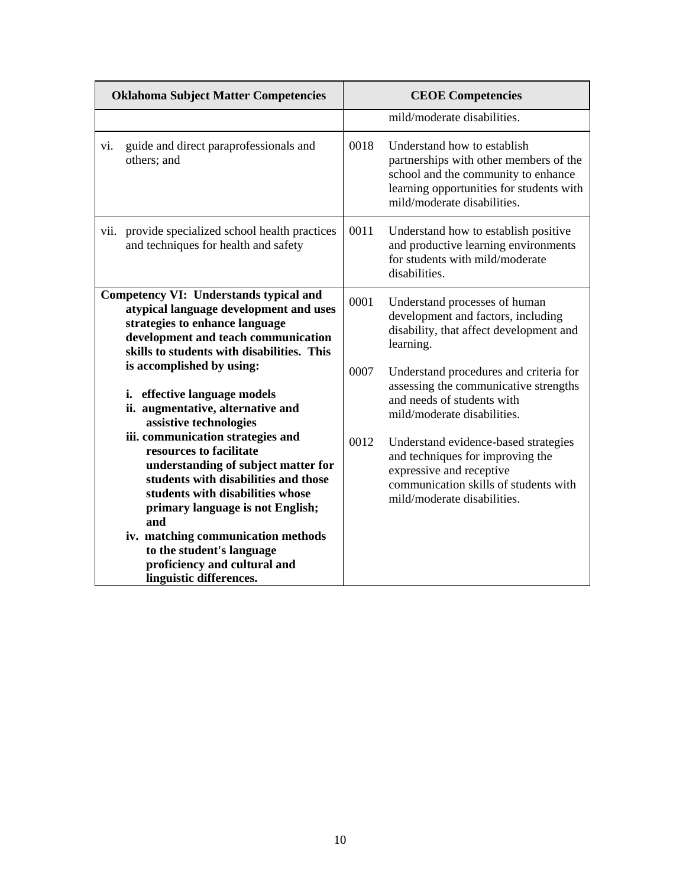| <b>Oklahoma Subject Matter Competencies</b> |                                                                                                                                                                                                                            | <b>CEOE</b> Competencies |                                                                                                                                                                                         |
|---------------------------------------------|----------------------------------------------------------------------------------------------------------------------------------------------------------------------------------------------------------------------------|--------------------------|-----------------------------------------------------------------------------------------------------------------------------------------------------------------------------------------|
|                                             |                                                                                                                                                                                                                            |                          | mild/moderate disabilities.                                                                                                                                                             |
| vi.                                         | guide and direct paraprofessionals and<br>others; and                                                                                                                                                                      | 0018                     | Understand how to establish<br>partnerships with other members of the<br>school and the community to enhance<br>learning opportunities for students with<br>mild/moderate disabilities. |
|                                             | vii. provide specialized school health practices<br>and techniques for health and safety                                                                                                                                   | 0011                     | Understand how to establish positive<br>and productive learning environments<br>for students with mild/moderate<br>disabilities.                                                        |
|                                             | Competency VI: Understands typical and<br>atypical language development and uses<br>strategies to enhance language<br>development and teach communication<br>skills to students with disabilities. This                    | 0001                     | Understand processes of human<br>development and factors, including<br>disability, that affect development and<br>learning.                                                             |
|                                             | is accomplished by using:<br>i. effective language models<br>ii. augmentative, alternative and<br>assistive technologies                                                                                                   | 0007                     | Understand procedures and criteria for<br>assessing the communicative strengths<br>and needs of students with<br>mild/moderate disabilities.                                            |
|                                             | iii. communication strategies and<br>resources to facilitate<br>understanding of subject matter for<br>students with disabilities and those<br>students with disabilities whose<br>primary language is not English;<br>and | 0012                     | Understand evidence-based strategies<br>and techniques for improving the<br>expressive and receptive<br>communication skills of students with<br>mild/moderate disabilities.            |
|                                             | iv. matching communication methods<br>to the student's language<br>proficiency and cultural and<br>linguistic differences.                                                                                                 |                          |                                                                                                                                                                                         |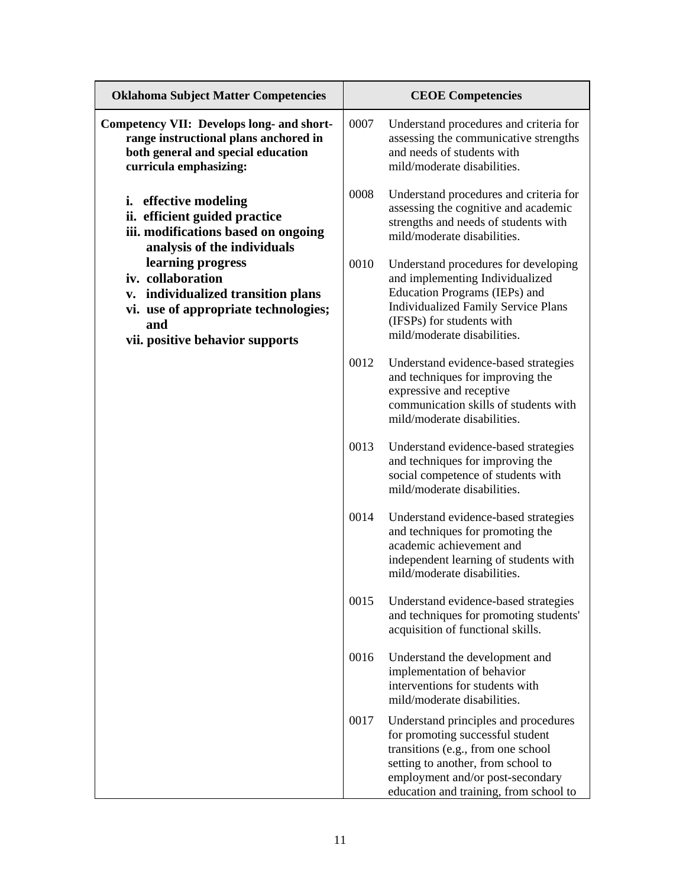| <b>Oklahoma Subject Matter Competencies</b>                                                                                                                    |      | <b>CEOE</b> Competencies                                                                                                                                                                                                           |
|----------------------------------------------------------------------------------------------------------------------------------------------------------------|------|------------------------------------------------------------------------------------------------------------------------------------------------------------------------------------------------------------------------------------|
| Competency VII: Develops long- and short-<br>range instructional plans anchored in<br>both general and special education<br>curricula emphasizing:             | 0007 | Understand procedures and criteria for<br>assessing the communicative strengths<br>and needs of students with<br>mild/moderate disabilities.                                                                                       |
| <i>i.</i> effective modeling<br>ii. efficient guided practice<br>iii. modifications based on ongoing<br>analysis of the individuals                            | 0008 | Understand procedures and criteria for<br>assessing the cognitive and academic<br>strengths and needs of students with<br>mild/moderate disabilities.                                                                              |
| learning progress<br>iv. collaboration<br>v. individualized transition plans<br>vi. use of appropriate technologies;<br>and<br>vii. positive behavior supports | 0010 | Understand procedures for developing<br>and implementing Individualized<br>Education Programs (IEPs) and<br><b>Individualized Family Service Plans</b><br>(IFSPs) for students with<br>mild/moderate disabilities.                 |
|                                                                                                                                                                | 0012 | Understand evidence-based strategies<br>and techniques for improving the<br>expressive and receptive<br>communication skills of students with<br>mild/moderate disabilities.                                                       |
|                                                                                                                                                                | 0013 | Understand evidence-based strategies<br>and techniques for improving the<br>social competence of students with<br>mild/moderate disabilities.                                                                                      |
|                                                                                                                                                                | 0014 | Understand evidence-based strategies<br>and techniques for promoting the<br>academic achievement and<br>independent learning of students with<br>mild/moderate disabilities.                                                       |
|                                                                                                                                                                | 0015 | Understand evidence-based strategies<br>and techniques for promoting students'<br>acquisition of functional skills.                                                                                                                |
|                                                                                                                                                                | 0016 | Understand the development and<br>implementation of behavior<br>interventions for students with<br>mild/moderate disabilities.                                                                                                     |
|                                                                                                                                                                | 0017 | Understand principles and procedures<br>for promoting successful student<br>transitions (e.g., from one school<br>setting to another, from school to<br>employment and/or post-secondary<br>education and training, from school to |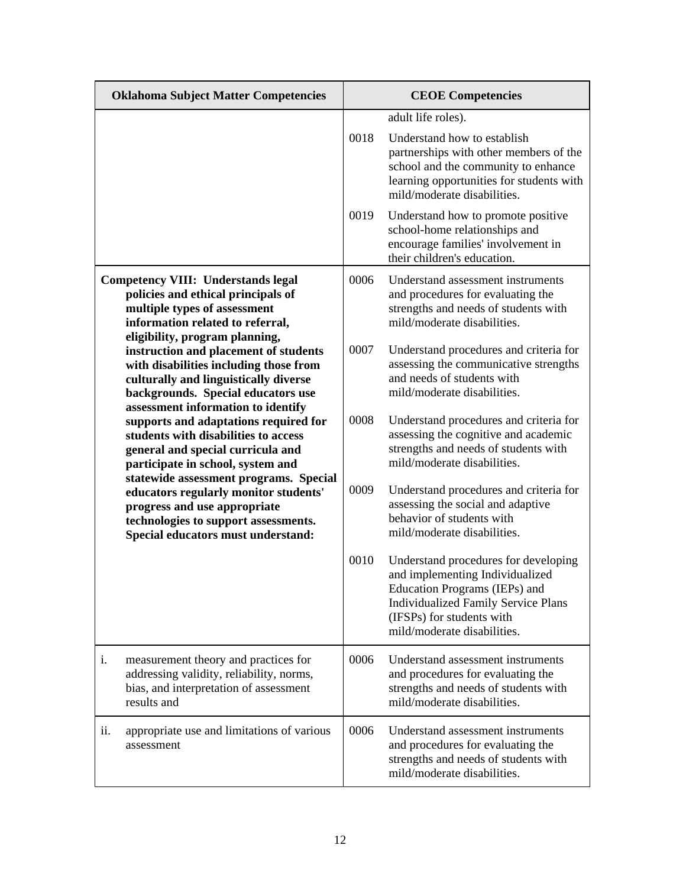|     | <b>Oklahoma Subject Matter Competencies</b>                                                                                                                                                          |      | <b>CEOE</b> Competencies                                                                                                                                                                                           |
|-----|------------------------------------------------------------------------------------------------------------------------------------------------------------------------------------------------------|------|--------------------------------------------------------------------------------------------------------------------------------------------------------------------------------------------------------------------|
|     |                                                                                                                                                                                                      |      | adult life roles).                                                                                                                                                                                                 |
|     |                                                                                                                                                                                                      | 0018 | Understand how to establish<br>partnerships with other members of the<br>school and the community to enhance<br>learning opportunities for students with<br>mild/moderate disabilities.                            |
|     |                                                                                                                                                                                                      | 0019 | Understand how to promote positive<br>school-home relationships and<br>encourage families' involvement in<br>their children's education.                                                                           |
|     | <b>Competency VIII: Understands legal</b><br>policies and ethical principals of<br>multiple types of assessment<br>information related to referral,<br>eligibility, program planning,                | 0006 | Understand assessment instruments<br>and procedures for evaluating the<br>strengths and needs of students with<br>mild/moderate disabilities.                                                                      |
|     | instruction and placement of students<br>with disabilities including those from<br>culturally and linguistically diverse<br>backgrounds. Special educators use<br>assessment information to identify | 0007 | Understand procedures and criteria for<br>assessing the communicative strengths<br>and needs of students with<br>mild/moderate disabilities.                                                                       |
|     | supports and adaptations required for<br>students with disabilities to access<br>general and special curricula and<br>participate in school, system and<br>statewide assessment programs. Special    | 0008 | Understand procedures and criteria for<br>assessing the cognitive and academic<br>strengths and needs of students with<br>mild/moderate disabilities.                                                              |
|     | educators regularly monitor students'<br>progress and use appropriate<br>technologies to support assessments.<br>Special educators must understand:                                                  | 0009 | Understand procedures and criteria for<br>assessing the social and adaptive<br>behavior of students with<br>mild/moderate disabilities.                                                                            |
|     |                                                                                                                                                                                                      | 0010 | Understand procedures for developing<br>and implementing Individualized<br>Education Programs (IEPs) and<br><b>Individualized Family Service Plans</b><br>(IFSPs) for students with<br>mild/moderate disabilities. |
| i.  | measurement theory and practices for<br>addressing validity, reliability, norms,<br>bias, and interpretation of assessment<br>results and                                                            | 0006 | Understand assessment instruments<br>and procedures for evaluating the<br>strengths and needs of students with<br>mild/moderate disabilities.                                                                      |
| ii. | appropriate use and limitations of various<br>assessment                                                                                                                                             | 0006 | Understand assessment instruments<br>and procedures for evaluating the<br>strengths and needs of students with<br>mild/moderate disabilities.                                                                      |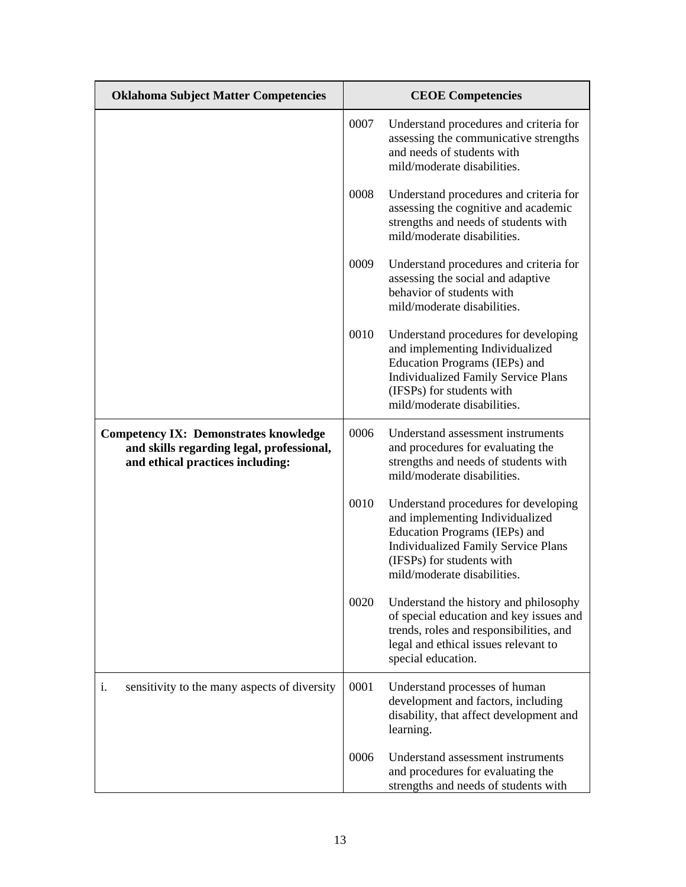| <b>Oklahoma Subject Matter Competencies</b>                                                                                   | <b>CEOE Competencies</b> |                                                                                                                                                                                                                    |
|-------------------------------------------------------------------------------------------------------------------------------|--------------------------|--------------------------------------------------------------------------------------------------------------------------------------------------------------------------------------------------------------------|
|                                                                                                                               | 0007                     | Understand procedures and criteria for<br>assessing the communicative strengths<br>and needs of students with<br>mild/moderate disabilities.                                                                       |
|                                                                                                                               | 0008                     | Understand procedures and criteria for<br>assessing the cognitive and academic<br>strengths and needs of students with<br>mild/moderate disabilities.                                                              |
|                                                                                                                               | 0009                     | Understand procedures and criteria for<br>assessing the social and adaptive<br>behavior of students with<br>mild/moderate disabilities.                                                                            |
|                                                                                                                               | 0010                     | Understand procedures for developing<br>and implementing Individualized<br>Education Programs (IEPs) and<br><b>Individualized Family Service Plans</b><br>(IFSPs) for students with<br>mild/moderate disabilities. |
| <b>Competency IX: Demonstrates knowledge</b><br>and skills regarding legal, professional,<br>and ethical practices including: | 0006                     | Understand assessment instruments<br>and procedures for evaluating the<br>strengths and needs of students with<br>mild/moderate disabilities.                                                                      |
|                                                                                                                               | 0010                     | Understand procedures for developing<br>and implementing Individualized<br>Education Programs (IEPs) and<br><b>Individualized Family Service Plans</b><br>(IFSPs) for students with<br>mild/moderate disabilities. |
|                                                                                                                               | 0020                     | Understand the history and philosophy<br>of special education and key issues and<br>trends, roles and responsibilities, and<br>legal and ethical issues relevant to<br>special education.                          |
| sensitivity to the many aspects of diversity<br>i.                                                                            | 0001                     | Understand processes of human<br>development and factors, including<br>disability, that affect development and<br>learning.                                                                                        |
|                                                                                                                               | 0006                     | Understand assessment instruments<br>and procedures for evaluating the<br>strengths and needs of students with                                                                                                     |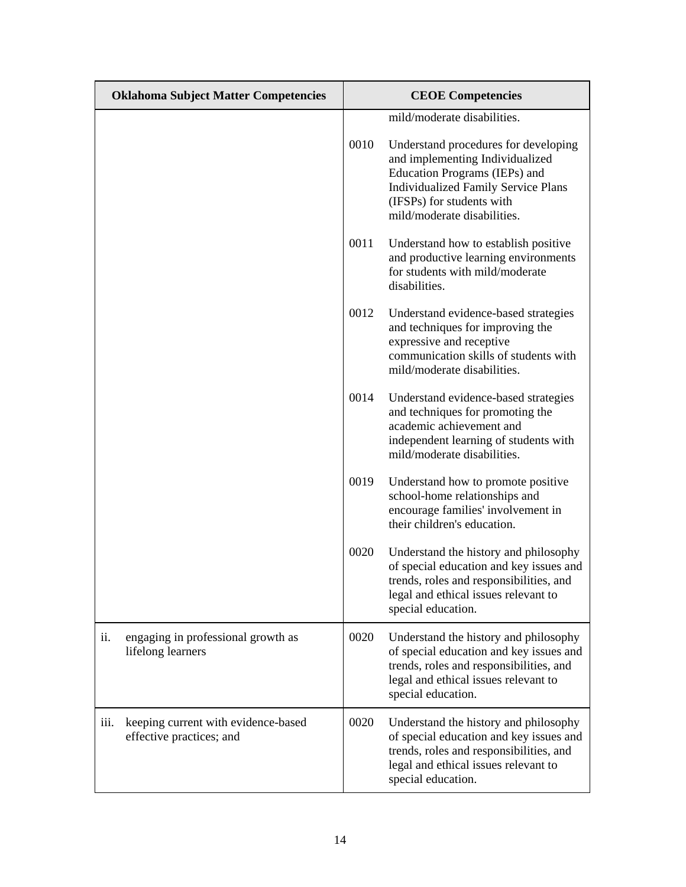| <b>Oklahoma Subject Matter Competencies</b>                             | <b>CEOE Competencies</b> |                                                                                                                                                                                                                    |
|-------------------------------------------------------------------------|--------------------------|--------------------------------------------------------------------------------------------------------------------------------------------------------------------------------------------------------------------|
|                                                                         |                          | mild/moderate disabilities.                                                                                                                                                                                        |
|                                                                         | 0010                     | Understand procedures for developing<br>and implementing Individualized<br>Education Programs (IEPs) and<br><b>Individualized Family Service Plans</b><br>(IFSPs) for students with<br>mild/moderate disabilities. |
|                                                                         | 0011                     | Understand how to establish positive<br>and productive learning environments<br>for students with mild/moderate<br>disabilities.                                                                                   |
|                                                                         | 0012                     | Understand evidence-based strategies<br>and techniques for improving the<br>expressive and receptive<br>communication skills of students with<br>mild/moderate disabilities.                                       |
|                                                                         | 0014                     | Understand evidence-based strategies<br>and techniques for promoting the<br>academic achievement and<br>independent learning of students with<br>mild/moderate disabilities.                                       |
|                                                                         | 0019                     | Understand how to promote positive<br>school-home relationships and<br>encourage families' involvement in<br>their children's education.                                                                           |
|                                                                         | 0020                     | Understand the history and philosophy<br>of special education and key issues and<br>trends, roles and responsibilities, and<br>legal and ethical issues relevant to<br>special education.                          |
| engaging in professional growth as<br>ii.<br>lifelong learners          | 0020                     | Understand the history and philosophy<br>of special education and key issues and<br>trends, roles and responsibilities, and<br>legal and ethical issues relevant to<br>special education.                          |
| keeping current with evidence-based<br>iii.<br>effective practices; and | 0020                     | Understand the history and philosophy<br>of special education and key issues and<br>trends, roles and responsibilities, and<br>legal and ethical issues relevant to<br>special education.                          |